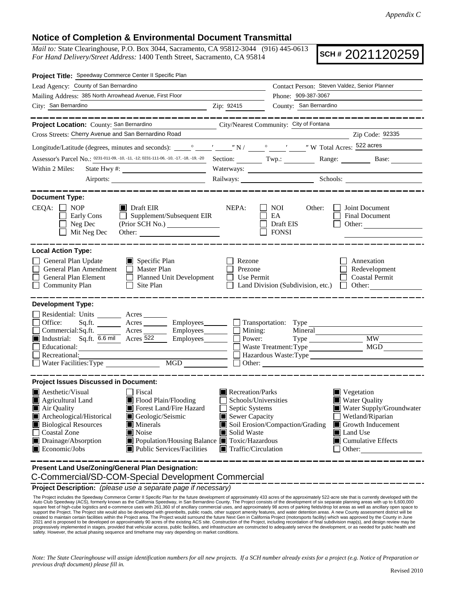## **Notice of Completion & Environmental Document Transmittal**

*Mail to:* State Clearinghouse, P.O. Box 3044, Sacramento, CA 95812-3044 (916) 445-0613 *For Hand Delivery/Street Address:* 1400 Tenth Street, Sacramento, CA 95814

**SCH #** 2021120259

| Project Title: Speedway Commerce Center II Specific Plan                                                                                                                                                                                                                                                                                                                               |                                               |                                                                                                                                                                                                                                                                                                                                    |                                                                           |
|----------------------------------------------------------------------------------------------------------------------------------------------------------------------------------------------------------------------------------------------------------------------------------------------------------------------------------------------------------------------------------------|-----------------------------------------------|------------------------------------------------------------------------------------------------------------------------------------------------------------------------------------------------------------------------------------------------------------------------------------------------------------------------------------|---------------------------------------------------------------------------|
| Lead Agency: County of San Bernardino                                                                                                                                                                                                                                                                                                                                                  | Contact Person: Steven Valdez, Senior Planner |                                                                                                                                                                                                                                                                                                                                    |                                                                           |
| Mailing Address: 385 North Arrowhead Avenue, First Floor                                                                                                                                                                                                                                                                                                                               |                                               | Phone: 909-387-3067                                                                                                                                                                                                                                                                                                                |                                                                           |
| City: San Bernardino<br><u> 1990 - Johann John Stone, mars et al. 1990 - 1990 - 1990 - 1990 - 1990 - 1990 - 1990 - 1990 - 1990 - 1990 - 1</u>                                                                                                                                                                                                                                          | Zip: 92415                                    | County: San Bernardino                                                                                                                                                                                                                                                                                                             |                                                                           |
| ----------                                                                                                                                                                                                                                                                                                                                                                             |                                               |                                                                                                                                                                                                                                                                                                                                    |                                                                           |
| Project Location: County: San Bernardino                                                                                                                                                                                                                                                                                                                                               |                                               | City/Nearest Community: City of Fontana                                                                                                                                                                                                                                                                                            |                                                                           |
| Cross Streets: Cherry Avenue and San Bernardino Road                                                                                                                                                                                                                                                                                                                                   |                                               |                                                                                                                                                                                                                                                                                                                                    | Zip Code: 92335                                                           |
|                                                                                                                                                                                                                                                                                                                                                                                        |                                               |                                                                                                                                                                                                                                                                                                                                    |                                                                           |
| Assessor's Parcel No.: 0231-011-09, -10, -11, -12; 0231-111-06, -10, -17, -18, -19, -20                                                                                                                                                                                                                                                                                                |                                               |                                                                                                                                                                                                                                                                                                                                    | Section: Twp.: Range: Base:                                               |
| Within 2 Miles:                                                                                                                                                                                                                                                                                                                                                                        |                                               |                                                                                                                                                                                                                                                                                                                                    |                                                                           |
|                                                                                                                                                                                                                                                                                                                                                                                        |                                               | Railways: Schools: Schools:                                                                                                                                                                                                                                                                                                        |                                                                           |
|                                                                                                                                                                                                                                                                                                                                                                                        |                                               |                                                                                                                                                                                                                                                                                                                                    |                                                                           |
| <b>Document Type:</b><br>$CEQA: \Box NOP$<br>$\blacksquare$ Draft EIR<br>$\Box$ Supplement/Subsequent EIR<br>Early Cons<br>Neg Dec<br>Mit Neg Dec                                                                                                                                                                                                                                      | NEPA:                                         | NOI<br>Other:<br>EA<br>Draft EIS<br><b>FONSI</b>                                                                                                                                                                                                                                                                                   | Joint Document<br><b>Final Document</b><br>Other:                         |
| <b>Local Action Type:</b><br>General Plan Update<br>$\blacksquare$ Specific Plan<br>General Plan Amendment<br>$\Box$ Master Plan<br>General Plan Element<br>Planned Unit Development<br><b>Community Plan</b><br>Site Plan                                                                                                                                                             | Rezone<br>Prezone<br>Use Permit               | Land Division (Subdivision, etc.)                                                                                                                                                                                                                                                                                                  | Annexation<br>Redevelopment<br><b>Coastal Permit</b><br>$\perp$<br>Other: |
| <b>Development Type:</b><br>Residential: Units ________ Acres _______<br>Office:<br>Acres Employees<br>Sq.fit.<br>Commercial:Sq.ft.<br>Commercial:Sq.ft.<br><b>Employees</b> Employees Employees Employees Employees Employees<br>Employees________<br>Educational:<br>Recreational:<br>$\overline{MGD}$<br>$\Box$ Water Facilities: Type                                              | $\blacksquare$ Mining:<br>Power:              | Transportation: Type<br>Mineral<br>Waste Treatment: Type<br>Other: <u>International Communication</u>                                                                                                                                                                                                                              | <b>MW</b><br>MGD<br>Hazardous Waste:Type                                  |
| <b>Project Issues Discussed in Document:</b>                                                                                                                                                                                                                                                                                                                                           |                                               |                                                                                                                                                                                                                                                                                                                                    |                                                                           |
| <b>A</b> esthetic/Visual<br>  Fiscal<br>Agricultural Land<br>Flood Plain/Flooding<br>Forest Land/Fire Hazard<br>Air Quality<br>Archeological/Historical<br>Geologic/Seismic<br><b>Biological Resources</b><br>Minerals<br>Coastal Zone<br>Noise<br>Drainage/Absorption<br>■ Population/Housing Balance ■ Toxic/Hazardous<br>$\blacksquare$ Public Services/Facilities<br>Economic/Jobs | Solid Waste                                   | Recreation/Parks<br>Vegetation<br>Schools/Universities<br><b>Water Quality</b><br>$\blacksquare$ Water Supply/Groundwater<br>Septic Systems<br>Sewer Capacity<br>Wetland/Riparian<br>Soil Erosion/Compaction/Grading<br>Growth Inducement<br>Land Use<br>$\Box$ Cumulative Effects<br>$\blacksquare$ Traffic/Circulation<br>Other: |                                                                           |
| Present Land Use/Zoning/General Plan Designation:                                                                                                                                                                                                                                                                                                                                      |                                               |                                                                                                                                                                                                                                                                                                                                    |                                                                           |

C-Commercial/SD-COM-Special Development Commercial

**Project Description:** *(please use a separate page if necessary)*

The Project includes the Speedway Commerce Center II Specific Plan for the future development of approximately 433 acres of the approximately 522-acre site that is currently developed with the<br>Auto Club Speedway (ACS), for The Project includes the Speedway Commerce Center II Specific Plan for the future development of approximately 433 acres of the approximately 522-acre site that is currently developed with the support the Project. The Project site would also be developed with greenbelts, public roads, other support amenity features, and water detention areas. A new County assessment district will be<br>created to maintain certain f 2021 and is proposed to be developed on approximately 90 acres of the existing ACS site. Construction of the Project, including recordation of final subdivision map(s), and design review may be progressively implemented in stages, provided that vehicular access, public facilities, and infrastructure are constructed to adequately service the development, or as needed for public health and<br>safety. However, the actu

*Note: The State Clearinghouse will assign identification numbers for all new projects. If a SCH number already exists for a project (e.g. Notice of Preparation or previous draft document) please fill in.*